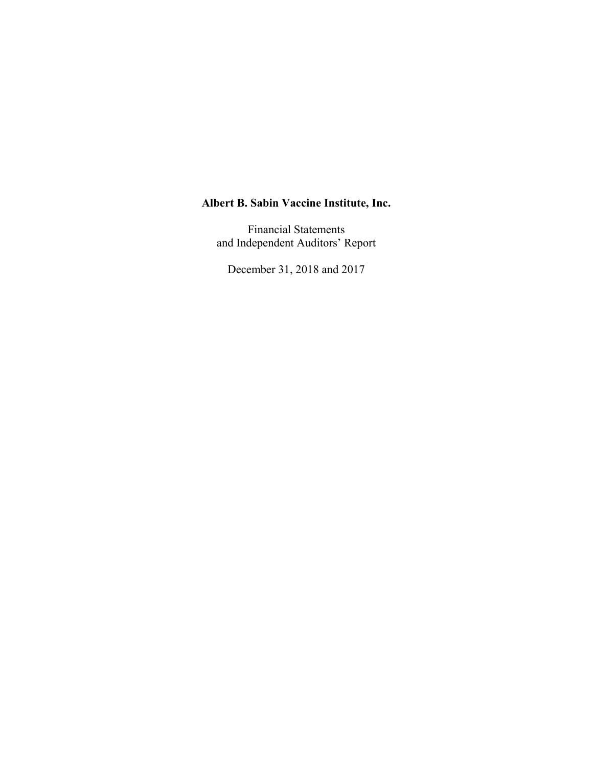Financial Statements and Independent Auditors' Report

December 31, 2018 and 2017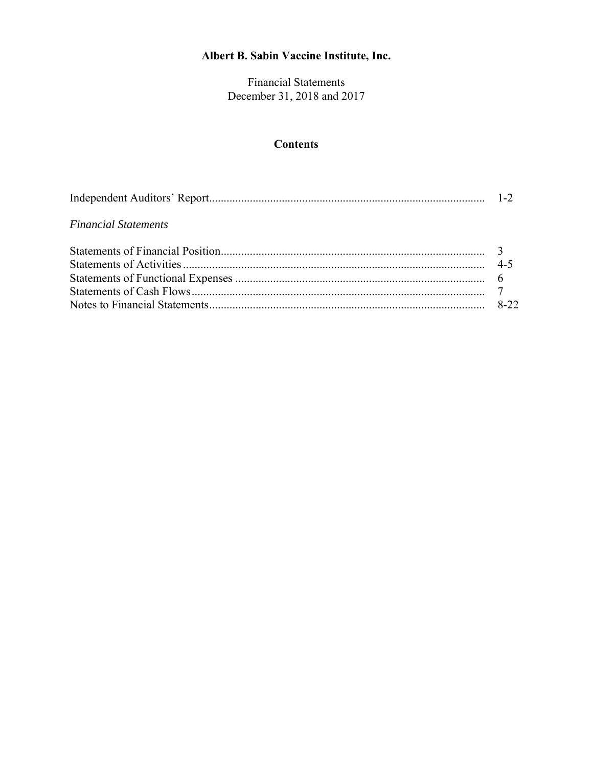Financial Statements December 31, 2018 and 2017

# **Contents**

| <b>Financial Statements</b> |  |
|-----------------------------|--|
|                             |  |
|                             |  |
|                             |  |
|                             |  |
|                             |  |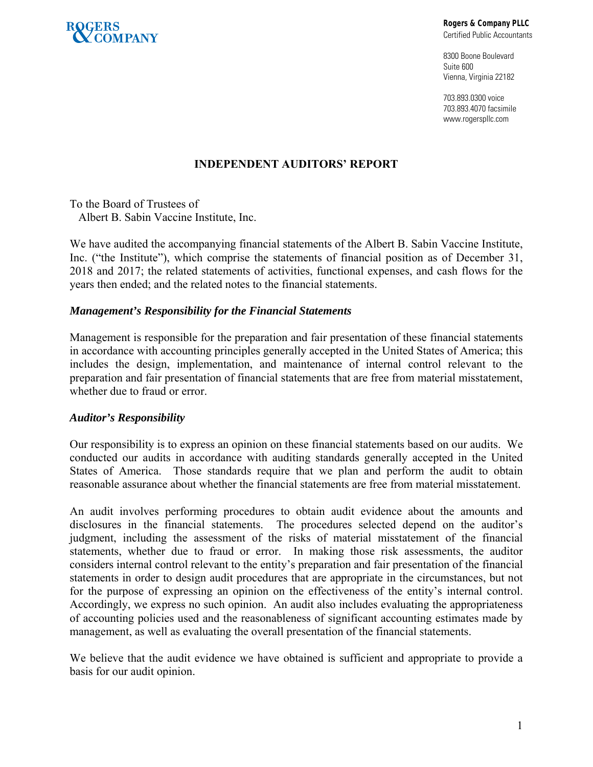

**Rogers & Company PLLC** 

Certified Public Accountants

8300 Boone Boulevard Suite 600 Vienna, Virginia 22182

703.893.0300 voice 703.893.4070 facsimile www.rogerspllc.com

# **INDEPENDENT AUDITORS' REPORT**

To the Board of Trustees of Albert B. Sabin Vaccine Institute, Inc.

We have audited the accompanying financial statements of the Albert B. Sabin Vaccine Institute, Inc. ("the Institute"), which comprise the statements of financial position as of December 31, 2018 and 2017; the related statements of activities, functional expenses, and cash flows for the years then ended; and the related notes to the financial statements.

#### *Management's Responsibility for the Financial Statements*

Management is responsible for the preparation and fair presentation of these financial statements in accordance with accounting principles generally accepted in the United States of America; this includes the design, implementation, and maintenance of internal control relevant to the preparation and fair presentation of financial statements that are free from material misstatement, whether due to fraud or error.

## *Auditor's Responsibility*

Our responsibility is to express an opinion on these financial statements based on our audits. We conducted our audits in accordance with auditing standards generally accepted in the United States of America. Those standards require that we plan and perform the audit to obtain reasonable assurance about whether the financial statements are free from material misstatement.

An audit involves performing procedures to obtain audit evidence about the amounts and disclosures in the financial statements. The procedures selected depend on the auditor's judgment, including the assessment of the risks of material misstatement of the financial statements, whether due to fraud or error. In making those risk assessments, the auditor considers internal control relevant to the entity's preparation and fair presentation of the financial statements in order to design audit procedures that are appropriate in the circumstances, but not for the purpose of expressing an opinion on the effectiveness of the entity's internal control. Accordingly, we express no such opinion. An audit also includes evaluating the appropriateness of accounting policies used and the reasonableness of significant accounting estimates made by management, as well as evaluating the overall presentation of the financial statements.

We believe that the audit evidence we have obtained is sufficient and appropriate to provide a basis for our audit opinion.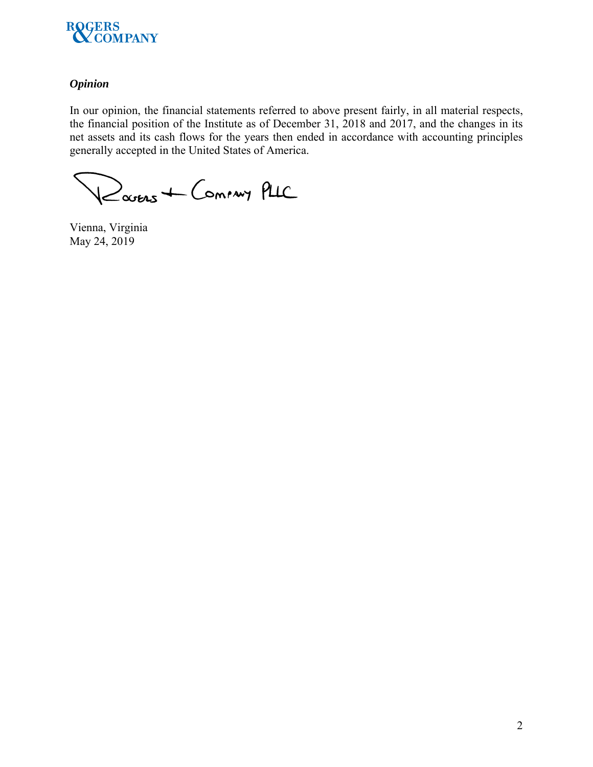

# *Opinion*

In our opinion, the financial statements referred to above present fairly, in all material respects, the financial position of the Institute as of December 31, 2018 and 2017, and the changes in its net assets and its cash flows for the years then ended in accordance with accounting principles generally accepted in the United States of America.

Davens + Commy PLIC

Vienna, Virginia May 24, 2019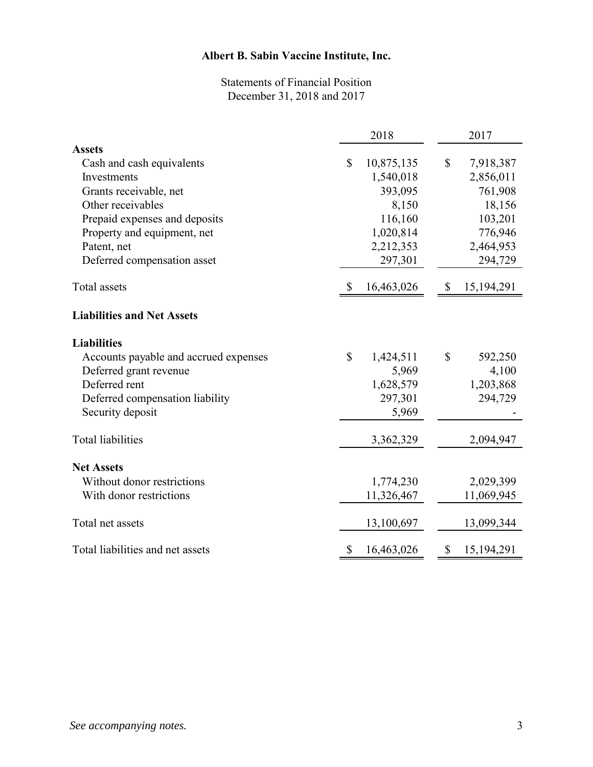# Statements of Financial Position December 31, 2018 and 2017

|                                       | 2018         |            |              | 2017         |
|---------------------------------------|--------------|------------|--------------|--------------|
| <b>Assets</b>                         |              |            |              |              |
| Cash and cash equivalents             | \$           | 10,875,135 | \$           | 7,918,387    |
| Investments                           |              | 1,540,018  |              | 2,856,011    |
| Grants receivable, net                |              | 393,095    |              | 761,908      |
| Other receivables                     |              | 8,150      |              | 18,156       |
| Prepaid expenses and deposits         |              | 116,160    |              | 103,201      |
| Property and equipment, net           |              | 1,020,814  |              | 776,946      |
| Patent, net                           |              | 2,212,353  |              | 2,464,953    |
| Deferred compensation asset           |              | 297,301    |              | 294,729      |
| <b>Total</b> assets                   | \$           | 16,463,026 | $\mathbb{S}$ | 15, 194, 291 |
| <b>Liabilities and Net Assets</b>     |              |            |              |              |
| <b>Liabilities</b>                    |              |            |              |              |
| Accounts payable and accrued expenses | $\mathbb{S}$ | 1,424,511  | \$           | 592,250      |
| Deferred grant revenue                |              | 5,969      |              | 4,100        |
| Deferred rent                         |              | 1,628,579  |              | 1,203,868    |
| Deferred compensation liability       |              | 297,301    |              | 294,729      |
| Security deposit                      |              | 5,969      |              |              |
| <b>Total liabilities</b>              |              | 3,362,329  |              | 2,094,947    |
| <b>Net Assets</b>                     |              |            |              |              |
| Without donor restrictions            |              | 1,774,230  |              | 2,029,399    |
| With donor restrictions               |              | 11,326,467 |              | 11,069,945   |
| Total net assets                      |              | 13,100,697 |              | 13,099,344   |
| Total liabilities and net assets      | \$           | 16,463,026 | \$           | 15,194,291   |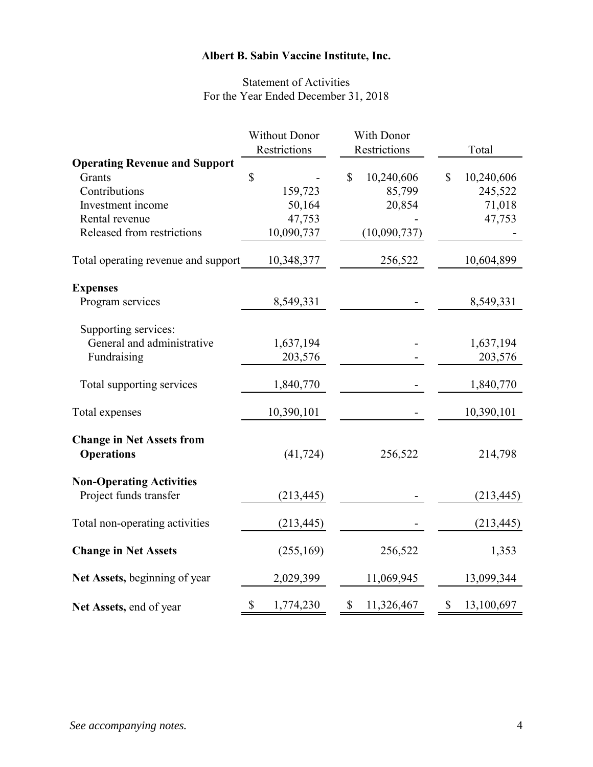# Statement of Activities For the Year Ended December 31, 2018

|                                                       | <b>Without Donor</b> | With Donor       |                  |
|-------------------------------------------------------|----------------------|------------------|------------------|
|                                                       | Restrictions         | Restrictions     | Total            |
| <b>Operating Revenue and Support</b>                  |                      |                  |                  |
| Grants                                                | \$                   | 10,240,606<br>\$ | \$<br>10,240,606 |
| Contributions                                         | 159,723              | 85,799           | 245,522          |
| Investment income                                     | 50,164               | 20,854           | 71,018           |
| Rental revenue                                        | 47,753               |                  | 47,753           |
| Released from restrictions                            | 10,090,737           | (10,090,737)     |                  |
| Total operating revenue and support                   | 10,348,377           | 256,522          | 10,604,899       |
| <b>Expenses</b>                                       |                      |                  |                  |
| Program services                                      | 8,549,331            |                  | 8,549,331        |
| Supporting services:                                  |                      |                  |                  |
| General and administrative                            | 1,637,194            |                  | 1,637,194        |
| Fundraising                                           | 203,576              |                  | 203,576          |
|                                                       |                      |                  |                  |
| Total supporting services                             | 1,840,770            |                  | 1,840,770        |
| Total expenses                                        | 10,390,101           |                  | 10,390,101       |
| <b>Change in Net Assets from</b><br><b>Operations</b> | (41, 724)            | 256,522          | 214,798          |
| <b>Non-Operating Activities</b>                       |                      |                  |                  |
| Project funds transfer                                | (213, 445)           |                  | (213, 445)       |
| Total non-operating activities                        | (213, 445)           |                  | (213, 445)       |
| <b>Change in Net Assets</b>                           | (255, 169)           | 256,522          | 1,353            |
| Net Assets, beginning of year                         | 2,029,399            | 11,069,945       | 13,099,344       |
| Net Assets, end of year                               | \$<br>1,774,230      | \$<br>11,326,467 | \$<br>13,100,697 |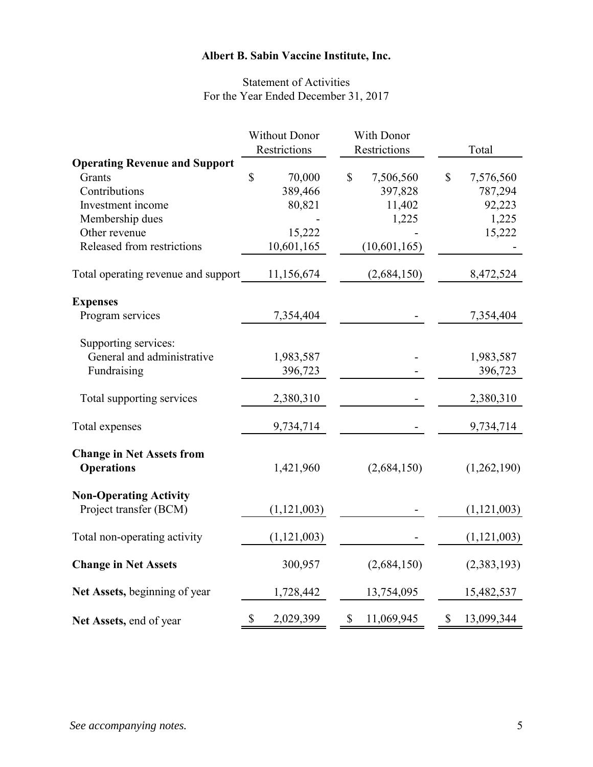# Statement of Activities For the Year Ended December 31, 2017

|                                      | <b>Without Donor</b>   | With Donor                |                           |
|--------------------------------------|------------------------|---------------------------|---------------------------|
|                                      | Restrictions           | Restrictions              | Total                     |
| <b>Operating Revenue and Support</b> |                        |                           |                           |
| Grants                               | $\mathbb{S}$<br>70,000 | $\mathbb{S}$<br>7,506,560 | $\mathbb{S}$<br>7,576,560 |
| Contributions                        | 389,466                | 397,828                   | 787,294                   |
| Investment income                    | 80,821                 | 11,402                    | 92,223                    |
| Membership dues                      |                        | 1,225                     | 1,225                     |
| Other revenue                        | 15,222                 |                           | 15,222                    |
| Released from restrictions           | 10,601,165             | (10,601,165)              |                           |
| Total operating revenue and support  | 11,156,674             | (2,684,150)               | 8,472,524                 |
| <b>Expenses</b>                      |                        |                           |                           |
| Program services                     | 7,354,404              |                           | 7,354,404                 |
| Supporting services:                 |                        |                           |                           |
| General and administrative           | 1,983,587              |                           | 1,983,587                 |
| Fundraising                          | 396,723                |                           | 396,723                   |
| Total supporting services            | 2,380,310              |                           | 2,380,310                 |
| Total expenses                       | 9,734,714              |                           | 9,734,714                 |
| <b>Change in Net Assets from</b>     |                        |                           |                           |
| <b>Operations</b>                    | 1,421,960              | (2,684,150)               | (1,262,190)               |
| <b>Non-Operating Activity</b>        |                        |                           |                           |
| Project transfer (BCM)               | (1,121,003)            |                           | (1, 121, 003)             |
| Total non-operating activity         | (1,121,003)            |                           | (1, 121, 003)             |
| <b>Change in Net Assets</b>          | 300,957                | (2,684,150)               | (2,383,193)               |
| Net Assets, beginning of year        | 1,728,442              | 13,754,095                | 15,482,537                |
| Net Assets, end of year              | \$<br>2,029,399        | \$<br>11,069,945          | \$<br>13,099,344          |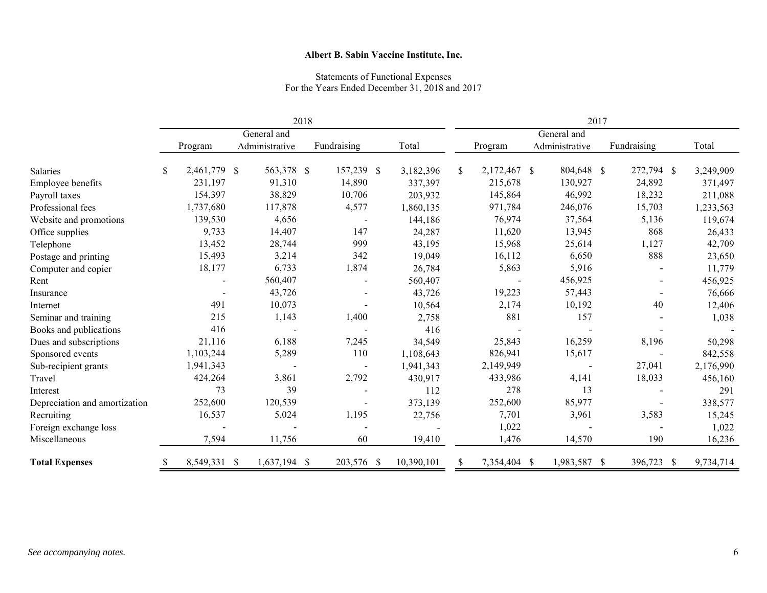#### Statements of Functional Expenses For the Years Ended December 31, 2018 and 2017

|                               | 2018        |              |  |                |  | 2017                     |            |               |              |  |                |               |      |           |
|-------------------------------|-------------|--------------|--|----------------|--|--------------------------|------------|---------------|--------------|--|----------------|---------------|------|-----------|
|                               | General and |              |  |                |  | General and              |            |               |              |  |                |               |      |           |
|                               |             | Program      |  | Administrative |  | Fundraising              | Total      |               | Program      |  | Administrative | Fundraising   |      | Total     |
| Salaries                      | \$          | 2,461,779 \$ |  | 563,378 \$     |  | 157,239 \$               | 3,182,396  | <sup>\$</sup> | 2,172,467 \$ |  | 804,648 \$     | 272,794 \$    |      | 3,249,909 |
| Employee benefits             |             | 231,197      |  | 91,310         |  | 14,890                   | 337,397    |               | 215,678      |  | 130,927        | 24,892        |      | 371,497   |
| Payroll taxes                 |             | 154,397      |  | 38,829         |  | 10,706                   | 203,932    |               | 145,864      |  | 46,992         | 18,232        |      | 211,088   |
| Professional fees             |             | 1,737,680    |  | 117,878        |  | 4,577                    | 1,860,135  |               | 971,784      |  | 246,076        | 15,703        |      | 1,233,563 |
| Website and promotions        |             | 139,530      |  | 4,656          |  | $\blacksquare$           | 144,186    |               | 76,974       |  | 37,564         | 5,136         |      | 119,674   |
| Office supplies               |             | 9,733        |  | 14,407         |  | 147                      | 24,287     |               | 11,620       |  | 13,945         | 868           |      | 26,433    |
| Telephone                     |             | 13,452       |  | 28,744         |  | 999                      | 43,195     |               | 15,968       |  | 25,614         | 1,127         |      | 42,709    |
| Postage and printing          |             | 15,493       |  | 3,214          |  | 342                      | 19,049     |               | 16,112       |  | 6,650          | 888           |      | 23,650    |
| Computer and copier           |             | 18,177       |  | 6,733          |  | 1,874                    | 26,784     |               | 5,863        |  | 5,916          |               |      | 11,779    |
| Rent                          |             |              |  | 560,407        |  |                          | 560,407    |               |              |  | 456,925        |               |      | 456,925   |
| Insurance                     |             |              |  | 43,726         |  |                          | 43,726     |               | 19,223       |  | 57,443         |               |      | 76,666    |
| Internet                      |             | 491          |  | 10,073         |  |                          | 10,564     |               | 2,174        |  | 10,192         | 40            |      | 12,406    |
| Seminar and training          |             | 215          |  | 1,143          |  | 1,400                    | 2,758      |               | 881          |  | 157            |               |      | 1,038     |
| Books and publications        |             | 416          |  |                |  |                          | 416        |               |              |  |                |               |      |           |
| Dues and subscriptions        |             | 21,116       |  | 6,188          |  | 7,245                    | 34,549     |               | 25,843       |  | 16,259         | 8,196         |      | 50,298    |
| Sponsored events              |             | 1,103,244    |  | 5,289          |  | 110                      | 1,108,643  |               | 826,941      |  | 15,617         |               |      | 842,558   |
| Sub-recipient grants          |             | 1,941,343    |  |                |  | $\overline{\phantom{a}}$ | 1,941,343  |               | 2,149,949    |  |                | 27,041        |      | 2,176,990 |
| Travel                        |             | 424,264      |  | 3,861          |  | 2,792                    | 430,917    |               | 433,986      |  | 4,141          | 18,033        |      | 456,160   |
| Interest                      |             | 73           |  | 39             |  |                          | 112        |               | 278          |  | 13             |               |      | 291       |
| Depreciation and amortization |             | 252,600      |  | 120,539        |  |                          | 373,139    |               | 252,600      |  | 85,977         |               |      | 338,577   |
| Recruiting                    |             | 16,537       |  | 5,024          |  | 1,195                    | 22,756     |               | 7,701        |  | 3,961          | 3,583         |      | 15,245    |
| Foreign exchange loss         |             |              |  |                |  |                          |            |               | 1,022        |  |                |               |      | 1,022     |
| Miscellaneous                 |             | 7,594        |  | 11,756         |  | 60                       | 19,410     |               | 1,476        |  | 14,570         | 190           |      | 16,236    |
| <b>Total Expenses</b>         |             | 8,549,331 \$ |  | $1,637,194$ \$ |  | 203,576 \$               | 10,390,101 | <b>S</b>      | 7,354,404 \$ |  | 1,983,587      | 396,723<br>-S | - \$ | 9,734,714 |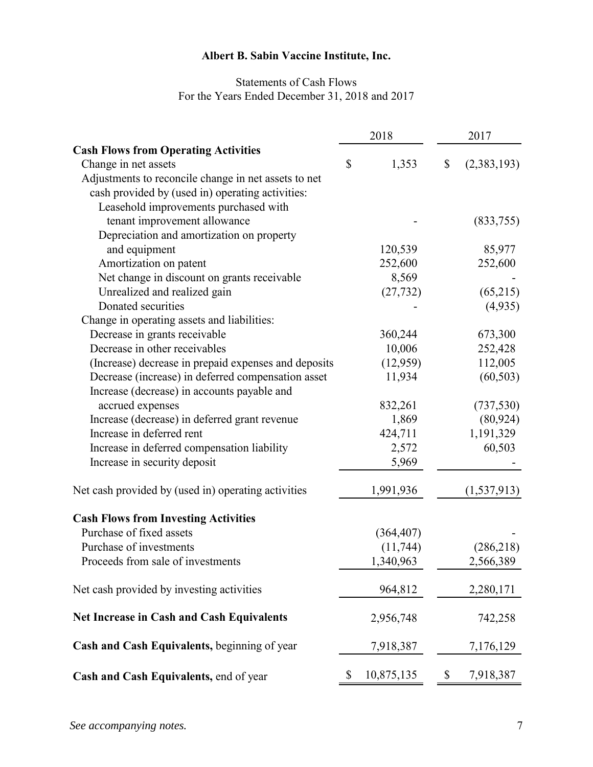# Statements of Cash Flows For the Years Ended December 31, 2018 and 2017

|                                                      | 2018          |            | 2017              |
|------------------------------------------------------|---------------|------------|-------------------|
| <b>Cash Flows from Operating Activities</b>          |               |            |                   |
| Change in net assets                                 | $\mathcal{S}$ | 1,353      | \$<br>(2,383,193) |
| Adjustments to reconcile change in net assets to net |               |            |                   |
| cash provided by (used in) operating activities:     |               |            |                   |
| Leasehold improvements purchased with                |               |            |                   |
| tenant improvement allowance                         |               |            | (833,755)         |
| Depreciation and amortization on property            |               |            |                   |
| and equipment                                        |               | 120,539    | 85,977            |
| Amortization on patent                               |               | 252,600    | 252,600           |
| Net change in discount on grants receivable          |               | 8,569      |                   |
| Unrealized and realized gain                         |               | (27, 732)  | (65,215)          |
| Donated securities                                   |               |            | (4,935)           |
| Change in operating assets and liabilities:          |               |            |                   |
| Decrease in grants receivable                        |               | 360,244    | 673,300           |
| Decrease in other receivables                        |               | 10,006     | 252,428           |
| (Increase) decrease in prepaid expenses and deposits |               | (12,959)   | 112,005           |
| Decrease (increase) in deferred compensation asset   |               | 11,934     | (60, 503)         |
| Increase (decrease) in accounts payable and          |               |            |                   |
| accrued expenses                                     |               | 832,261    | (737, 530)        |
| Increase (decrease) in deferred grant revenue        |               | 1,869      | (80, 924)         |
| Increase in deferred rent                            |               | 424,711    | 1,191,329         |
| Increase in deferred compensation liability          |               | 2,572      | 60,503            |
| Increase in security deposit                         |               | 5,969      |                   |
| Net cash provided by (used in) operating activities  |               | 1,991,936  | (1, 537, 913)     |
| <b>Cash Flows from Investing Activities</b>          |               |            |                   |
| Purchase of fixed assets                             |               | (364, 407) |                   |
| Purchase of investments                              |               | (11, 744)  | (286,218)         |
| Proceeds from sale of investments                    |               | 1,340,963  | 2,566,389         |
| Net cash provided by investing activities            |               | 964,812    | 2,280,171         |
| Net Increase in Cash and Cash Equivalents            |               | 2,956,748  | 742,258           |
| Cash and Cash Equivalents, beginning of year         |               | 7,918,387  | 7,176,129         |
| Cash and Cash Equivalents, end of year               | \$            | 10,875,135 | \$<br>7,918,387   |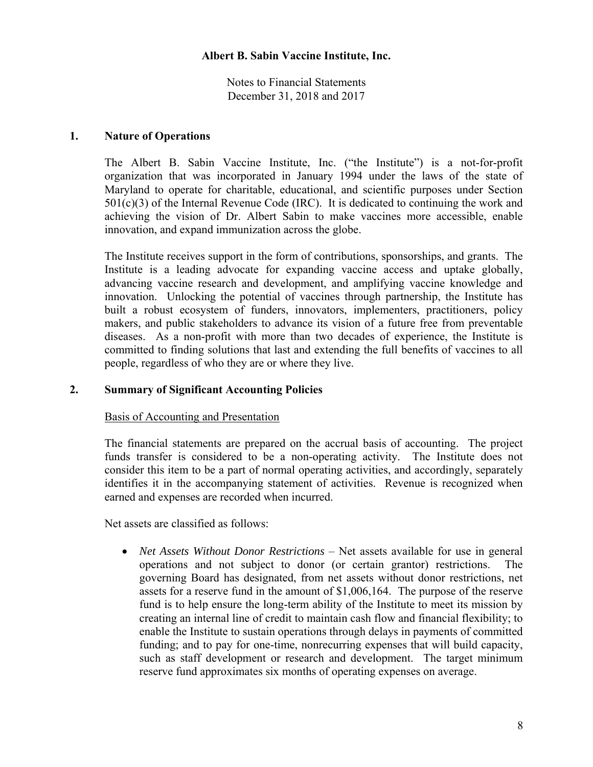Notes to Financial Statements December 31, 2018 and 2017

## **1. Nature of Operations**

The Albert B. Sabin Vaccine Institute, Inc. ("the Institute") is a not-for-profit organization that was incorporated in January 1994 under the laws of the state of Maryland to operate for charitable, educational, and scientific purposes under Section  $501(c)(3)$  of the Internal Revenue Code (IRC). It is dedicated to continuing the work and achieving the vision of Dr. Albert Sabin to make vaccines more accessible, enable innovation, and expand immunization across the globe.

The Institute receives support in the form of contributions, sponsorships, and grants. The Institute is a leading advocate for expanding vaccine access and uptake globally, advancing vaccine research and development, and amplifying vaccine knowledge and innovation. Unlocking the potential of vaccines through partnership, the Institute has built a robust ecosystem of funders, innovators, implementers, practitioners, policy makers, and public stakeholders to advance its vision of a future free from preventable diseases. As a non-profit with more than two decades of experience, the Institute is committed to finding solutions that last and extending the full benefits of vaccines to all people, regardless of who they are or where they live.

# **2. Summary of Significant Accounting Policies**

#### Basis of Accounting and Presentation

The financial statements are prepared on the accrual basis of accounting. The project funds transfer is considered to be a non-operating activity. The Institute does not consider this item to be a part of normal operating activities, and accordingly, separately identifies it in the accompanying statement of activities. Revenue is recognized when earned and expenses are recorded when incurred.

Net assets are classified as follows:

• *Net Assets Without Donor Restrictions* – Net assets available for use in general operations and not subject to donor (or certain grantor) restrictions. The governing Board has designated, from net assets without donor restrictions, net assets for a reserve fund in the amount of \$1,006,164. The purpose of the reserve fund is to help ensure the long-term ability of the Institute to meet its mission by creating an internal line of credit to maintain cash flow and financial flexibility; to enable the Institute to sustain operations through delays in payments of committed funding; and to pay for one-time, nonrecurring expenses that will build capacity, such as staff development or research and development. The target minimum reserve fund approximates six months of operating expenses on average.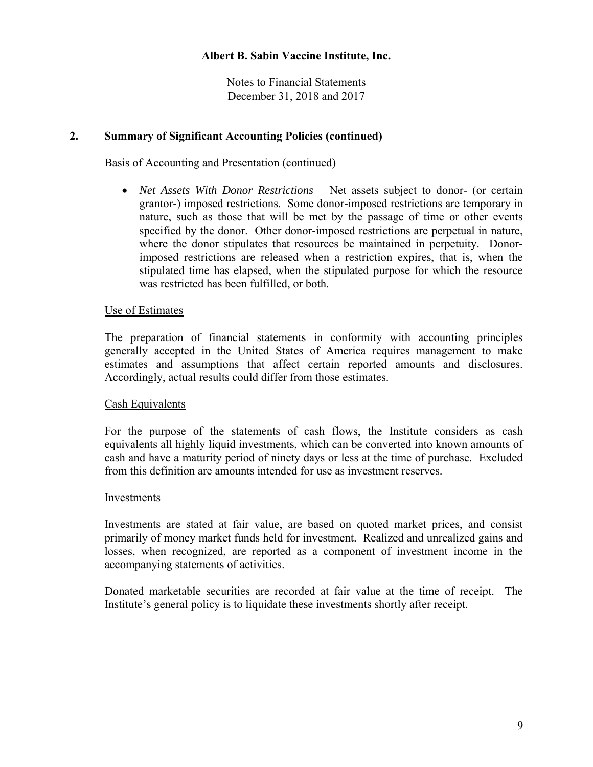Notes to Financial Statements December 31, 2018 and 2017

## **2. Summary of Significant Accounting Policies (continued)**

#### Basis of Accounting and Presentation (continued)

 *Net Assets With Donor Restrictions* – Net assets subject to donor- (or certain grantor-) imposed restrictions. Some donor-imposed restrictions are temporary in nature, such as those that will be met by the passage of time or other events specified by the donor. Other donor-imposed restrictions are perpetual in nature, where the donor stipulates that resources be maintained in perpetuity. Donorimposed restrictions are released when a restriction expires, that is, when the stipulated time has elapsed, when the stipulated purpose for which the resource was restricted has been fulfilled, or both.

#### Use of Estimates

The preparation of financial statements in conformity with accounting principles generally accepted in the United States of America requires management to make estimates and assumptions that affect certain reported amounts and disclosures. Accordingly, actual results could differ from those estimates.

#### Cash Equivalents

For the purpose of the statements of cash flows, the Institute considers as cash equivalents all highly liquid investments, which can be converted into known amounts of cash and have a maturity period of ninety days or less at the time of purchase. Excluded from this definition are amounts intended for use as investment reserves.

#### Investments

Investments are stated at fair value, are based on quoted market prices, and consist primarily of money market funds held for investment. Realized and unrealized gains and losses, when recognized, are reported as a component of investment income in the accompanying statements of activities.

Donated marketable securities are recorded at fair value at the time of receipt. The Institute's general policy is to liquidate these investments shortly after receipt.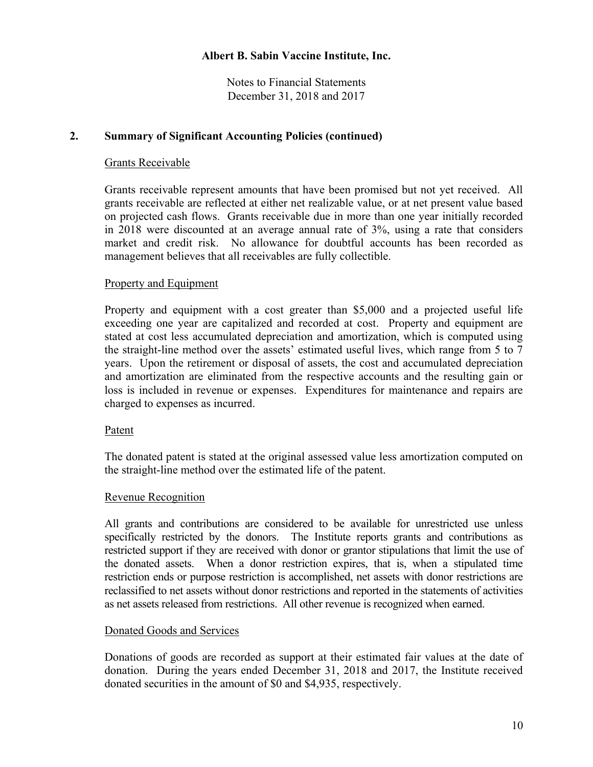Notes to Financial Statements December 31, 2018 and 2017

## **2. Summary of Significant Accounting Policies (continued)**

## Grants Receivable

Grants receivable represent amounts that have been promised but not yet received. All grants receivable are reflected at either net realizable value, or at net present value based on projected cash flows. Grants receivable due in more than one year initially recorded in 2018 were discounted at an average annual rate of 3%, using a rate that considers market and credit risk. No allowance for doubtful accounts has been recorded as management believes that all receivables are fully collectible.

# Property and Equipment

Property and equipment with a cost greater than \$5,000 and a projected useful life exceeding one year are capitalized and recorded at cost. Property and equipment are stated at cost less accumulated depreciation and amortization, which is computed using the straight-line method over the assets' estimated useful lives, which range from 5 to 7 years. Upon the retirement or disposal of assets, the cost and accumulated depreciation and amortization are eliminated from the respective accounts and the resulting gain or loss is included in revenue or expenses. Expenditures for maintenance and repairs are charged to expenses as incurred.

## Patent

The donated patent is stated at the original assessed value less amortization computed on the straight-line method over the estimated life of the patent.

## Revenue Recognition

All grants and contributions are considered to be available for unrestricted use unless specifically restricted by the donors. The Institute reports grants and contributions as restricted support if they are received with donor or grantor stipulations that limit the use of the donated assets. When a donor restriction expires, that is, when a stipulated time restriction ends or purpose restriction is accomplished, net assets with donor restrictions are reclassified to net assets without donor restrictions and reported in the statements of activities as net assets released from restrictions. All other revenue is recognized when earned.

## Donated Goods and Services

Donations of goods are recorded as support at their estimated fair values at the date of donation. During the years ended December 31, 2018 and 2017, the Institute received donated securities in the amount of \$0 and \$4,935, respectively.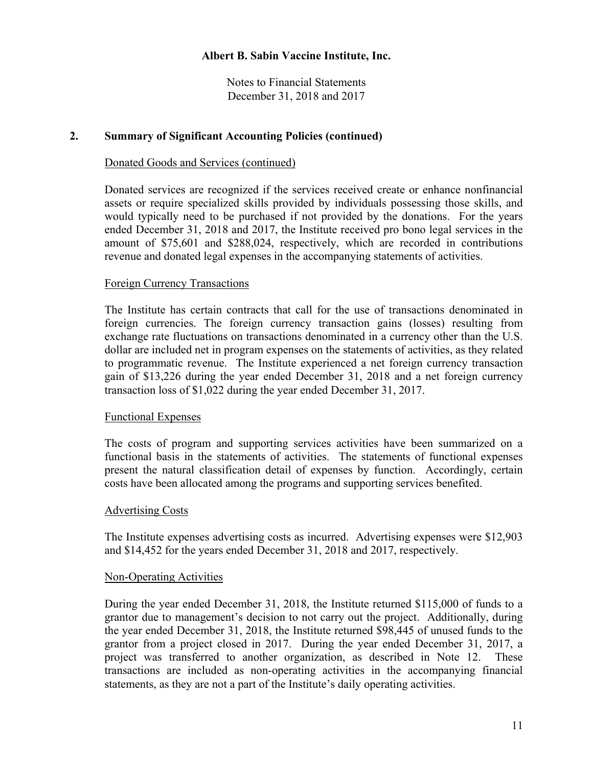Notes to Financial Statements December 31, 2018 and 2017

## **2. Summary of Significant Accounting Policies (continued)**

#### Donated Goods and Services (continued)

Donated services are recognized if the services received create or enhance nonfinancial assets or require specialized skills provided by individuals possessing those skills, and would typically need to be purchased if not provided by the donations. For the years ended December 31, 2018 and 2017, the Institute received pro bono legal services in the amount of \$75,601 and \$288,024, respectively, which are recorded in contributions revenue and donated legal expenses in the accompanying statements of activities.

#### Foreign Currency Transactions

The Institute has certain contracts that call for the use of transactions denominated in foreign currencies. The foreign currency transaction gains (losses) resulting from exchange rate fluctuations on transactions denominated in a currency other than the U.S. dollar are included net in program expenses on the statements of activities, as they related to programmatic revenue. The Institute experienced a net foreign currency transaction gain of \$13,226 during the year ended December 31, 2018 and a net foreign currency transaction loss of \$1,022 during the year ended December 31, 2017.

#### Functional Expenses

The costs of program and supporting services activities have been summarized on a functional basis in the statements of activities. The statements of functional expenses present the natural classification detail of expenses by function. Accordingly, certain costs have been allocated among the programs and supporting services benefited.

#### Advertising Costs

The Institute expenses advertising costs as incurred. Advertising expenses were \$12,903 and \$14,452 for the years ended December 31, 2018 and 2017, respectively.

#### Non-Operating Activities

During the year ended December 31, 2018, the Institute returned \$115,000 of funds to a grantor due to management's decision to not carry out the project. Additionally, during the year ended December 31, 2018, the Institute returned \$98,445 of unused funds to the grantor from a project closed in 2017. During the year ended December 31, 2017, a project was transferred to another organization, as described in Note 12. These transactions are included as non-operating activities in the accompanying financial statements, as they are not a part of the Institute's daily operating activities.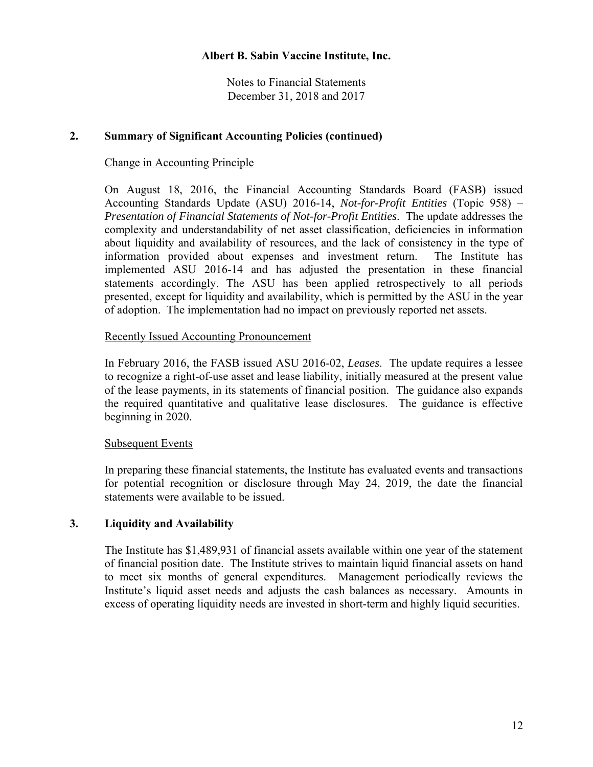Notes to Financial Statements December 31, 2018 and 2017

## **2. Summary of Significant Accounting Policies (continued)**

#### Change in Accounting Principle

On August 18, 2016, the Financial Accounting Standards Board (FASB) issued Accounting Standards Update (ASU) 2016-14, *Not-for-Profit Entities* (Topic 958) – *Presentation of Financial Statements of Not-for-Profit Entities*. The update addresses the complexity and understandability of net asset classification, deficiencies in information about liquidity and availability of resources, and the lack of consistency in the type of information provided about expenses and investment return. The Institute has implemented ASU 2016-14 and has adjusted the presentation in these financial statements accordingly. The ASU has been applied retrospectively to all periods presented, except for liquidity and availability, which is permitted by the ASU in the year of adoption. The implementation had no impact on previously reported net assets.

#### Recently Issued Accounting Pronouncement

In February 2016, the FASB issued ASU 2016-02, *Leases*. The update requires a lessee to recognize a right-of-use asset and lease liability, initially measured at the present value of the lease payments, in its statements of financial position. The guidance also expands the required quantitative and qualitative lease disclosures. The guidance is effective beginning in 2020.

## Subsequent Events

In preparing these financial statements, the Institute has evaluated events and transactions for potential recognition or disclosure through May 24, 2019, the date the financial statements were available to be issued.

## **3. Liquidity and Availability**

The Institute has \$1,489,931 of financial assets available within one year of the statement of financial position date. The Institute strives to maintain liquid financial assets on hand to meet six months of general expenditures. Management periodically reviews the Institute's liquid asset needs and adjusts the cash balances as necessary. Amounts in excess of operating liquidity needs are invested in short-term and highly liquid securities.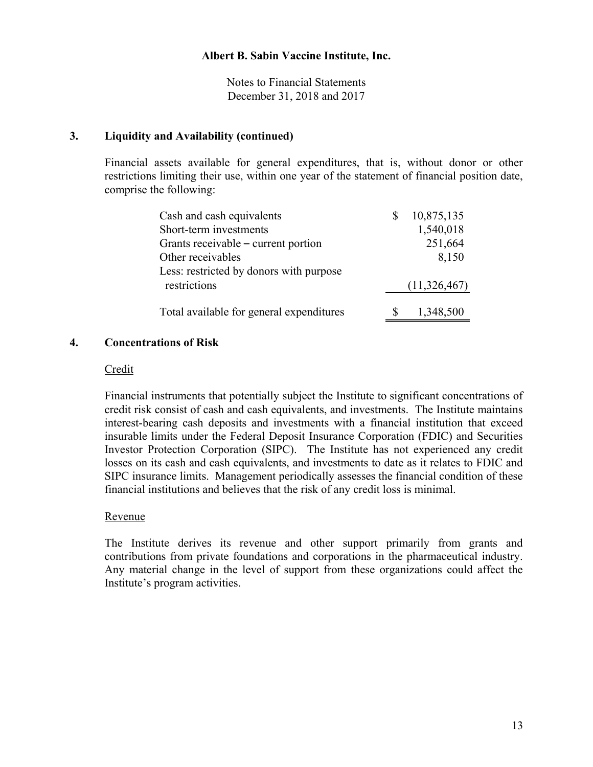Notes to Financial Statements December 31, 2018 and 2017

## **3. Liquidity and Availability (continued)**

Financial assets available for general expenditures, that is, without donor or other restrictions limiting their use, within one year of the statement of financial position date, comprise the following:

| Cash and cash equivalents                | 10,875,135   |
|------------------------------------------|--------------|
| Short-term investments                   | 1,540,018    |
| Grants receivable – current portion      | 251,664      |
| Other receivables                        | 8,150        |
| Less: restricted by donors with purpose  |              |
| restrictions                             | (11,326,467) |
|                                          |              |
| Total available for general expenditures | 1,348,500    |

#### **4. Concentrations of Risk**

#### Credit

Financial instruments that potentially subject the Institute to significant concentrations of credit risk consist of cash and cash equivalents, and investments. The Institute maintains interest-bearing cash deposits and investments with a financial institution that exceed insurable limits under the Federal Deposit Insurance Corporation (FDIC) and Securities Investor Protection Corporation (SIPC). The Institute has not experienced any credit losses on its cash and cash equivalents, and investments to date as it relates to FDIC and SIPC insurance limits. Management periodically assesses the financial condition of these financial institutions and believes that the risk of any credit loss is minimal.

## Revenue

The Institute derives its revenue and other support primarily from grants and contributions from private foundations and corporations in the pharmaceutical industry. Any material change in the level of support from these organizations could affect the Institute's program activities.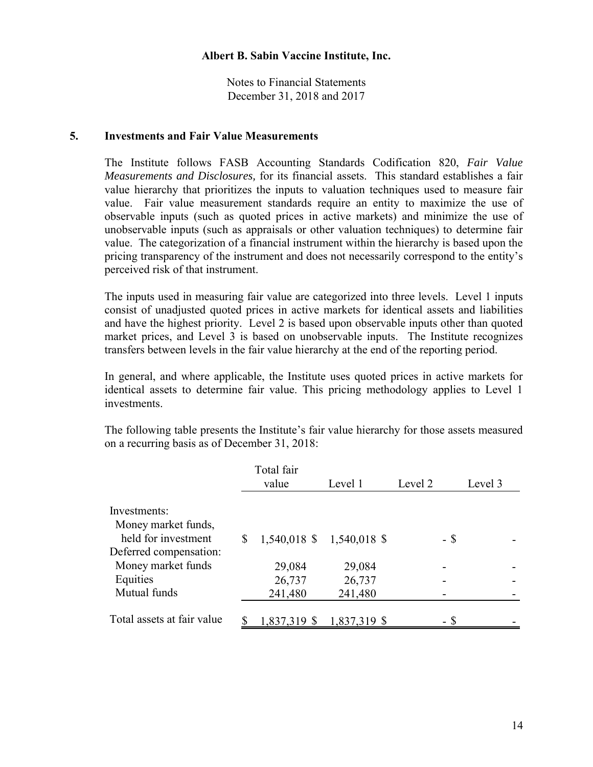Notes to Financial Statements December 31, 2018 and 2017

#### **5. Investments and Fair Value Measurements**

The Institute follows FASB Accounting Standards Codification 820, *Fair Value Measurements and Disclosures,* for its financial assets. This standard establishes a fair value hierarchy that prioritizes the inputs to valuation techniques used to measure fair value. Fair value measurement standards require an entity to maximize the use of observable inputs (such as quoted prices in active markets) and minimize the use of unobservable inputs (such as appraisals or other valuation techniques) to determine fair value. The categorization of a financial instrument within the hierarchy is based upon the pricing transparency of the instrument and does not necessarily correspond to the entity's perceived risk of that instrument.

The inputs used in measuring fair value are categorized into three levels. Level 1 inputs consist of unadjusted quoted prices in active markets for identical assets and liabilities and have the highest priority. Level 2 is based upon observable inputs other than quoted market prices, and Level 3 is based on unobservable inputs. The Institute recognizes transfers between levels in the fair value hierarchy at the end of the reporting period.

In general, and where applicable, the Institute uses quoted prices in active markets for identical assets to determine fair value. This pricing methodology applies to Level 1 investments.

The following table presents the Institute's fair value hierarchy for those assets measured on a recurring basis as of December 31, 2018:

|                            | Total fair<br>value | Level 1                       | Level 2 | Level 3 |
|----------------------------|---------------------|-------------------------------|---------|---------|
|                            |                     |                               |         |         |
| Investments:               |                     |                               |         |         |
| Money market funds,        |                     |                               |         |         |
| held for investment        | \$                  | $1,540,018$ \$ $1,540,018$ \$ | - \$    |         |
| Deferred compensation:     |                     |                               |         |         |
| Money market funds         | 29,084              | 29,084                        |         |         |
| Equities                   | 26,737              | 26,737                        |         |         |
| Mutual funds               | 241,480             | 241,480                       |         |         |
|                            |                     |                               |         |         |
| Total assets at fair value | 1,837,319 \$        | 1,837,319 \$                  |         |         |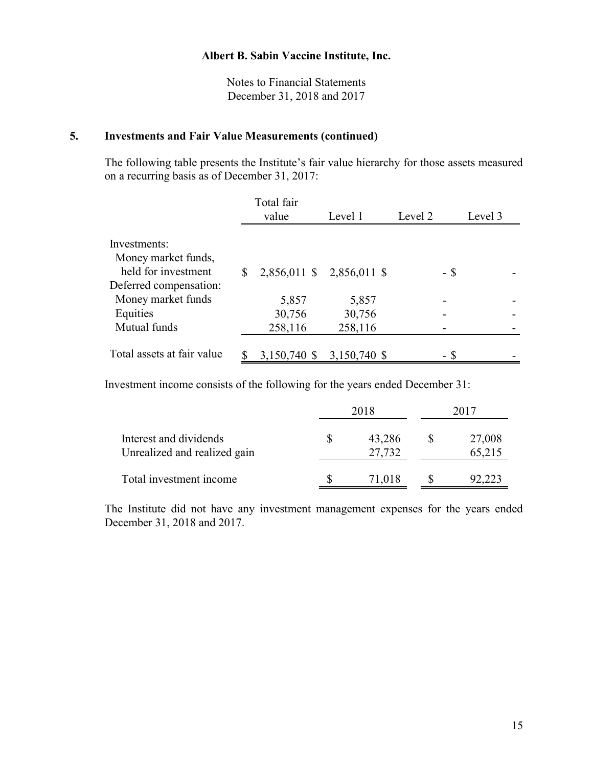Notes to Financial Statements December 31, 2018 and 2017

# **5. Investments and Fair Value Measurements (continued)**

The following table presents the Institute's fair value hierarchy for those assets measured on a recurring basis as of December 31, 2017:

|                            | Total fair   |                           |         |         |
|----------------------------|--------------|---------------------------|---------|---------|
|                            | value        | Level 1                   | Level 2 | Level 3 |
|                            |              |                           |         |         |
| Investments:               |              |                           |         |         |
| Money market funds,        |              |                           |         |         |
| held for investment        | S.           | 2,856,011 \$ 2,856,011 \$ | - \$    |         |
| Deferred compensation:     |              |                           |         |         |
| Money market funds         | 5,857        | 5,857                     |         |         |
| Equities                   | 30,756       | 30,756                    |         |         |
| Mutual funds               | 258,116      | 258,116                   |         |         |
|                            |              |                           |         |         |
| Total assets at fair value | 3,150,740 \$ | 3,150,740 \$              |         |         |

Investment income consists of the following for the years ended December 31:

|                                                        | 2018             | 2017 |                  |  |
|--------------------------------------------------------|------------------|------|------------------|--|
| Interest and dividends<br>Unrealized and realized gain | 43,286<br>27,732 |      | 27,008<br>65,215 |  |
| Total investment income                                | 71,018           |      | 92,223           |  |

The Institute did not have any investment management expenses for the years ended December 31, 2018 and 2017.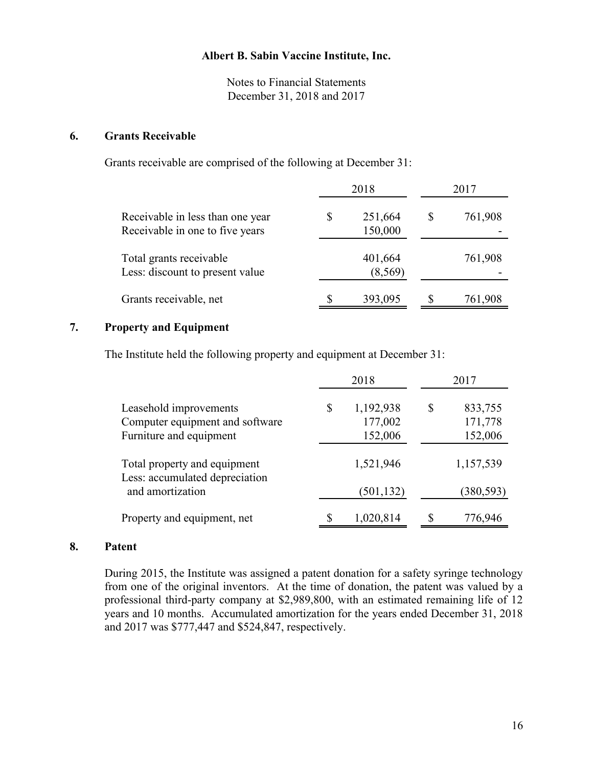Notes to Financial Statements December 31, 2018 and 2017

#### **6. Grants Receivable**

Grants receivable are comprised of the following at December 31:

|                                                                     | 2018 |                     | 2017 |         |  |
|---------------------------------------------------------------------|------|---------------------|------|---------|--|
| Receivable in less than one year<br>Receivable in one to five years | \$   | 251,664<br>150,000  | S    | 761,908 |  |
| Total grants receivable<br>Less: discount to present value          |      | 401,664<br>(8, 569) |      | 761,908 |  |
| Grants receivable, net                                              |      | 393,095             |      | 761,908 |  |

# **7. Property and Equipment**

The Institute held the following property and equipment at December 31:

|                                                                                      |    | 2018                            | 2017                                |
|--------------------------------------------------------------------------------------|----|---------------------------------|-------------------------------------|
| Leasehold improvements<br>Computer equipment and software<br>Furniture and equipment | \$ | 1,192,938<br>177,002<br>152,006 | \$<br>833,755<br>171,778<br>152,006 |
| Total property and equipment<br>Less: accumulated depreciation                       |    | 1,521,946                       | 1,157,539                           |
| and amortization                                                                     |    | (501, 132)                      | (380, 593)                          |
| Property and equipment, net                                                          | S  | 1,020,814                       | 776,946                             |

#### **8. Patent**

During 2015, the Institute was assigned a patent donation for a safety syringe technology from one of the original inventors. At the time of donation, the patent was valued by a professional third-party company at \$2,989,800, with an estimated remaining life of 12 years and 10 months. Accumulated amortization for the years ended December 31, 2018 and 2017 was \$777,447 and \$524,847, respectively.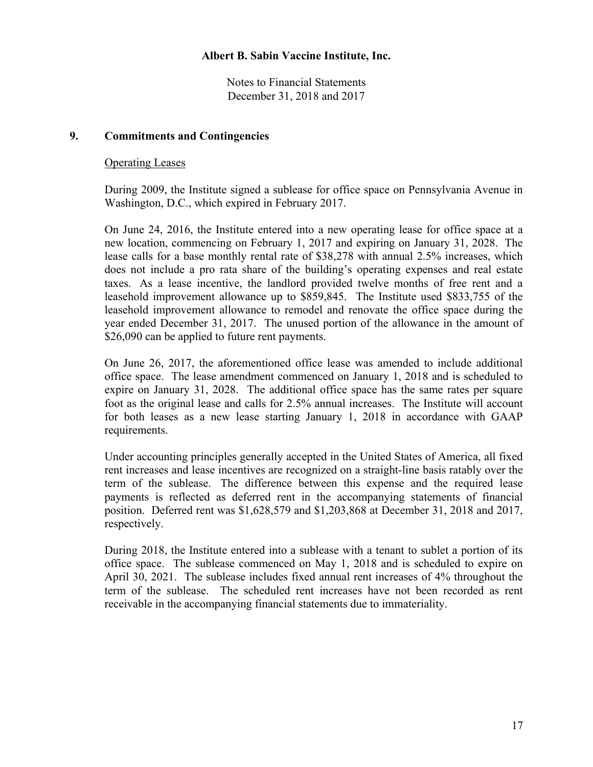Notes to Financial Statements December 31, 2018 and 2017

## **9. Commitments and Contingencies**

#### Operating Leases

During 2009, the Institute signed a sublease for office space on Pennsylvania Avenue in Washington, D.C., which expired in February 2017.

On June 24, 2016, the Institute entered into a new operating lease for office space at a new location, commencing on February 1, 2017 and expiring on January 31, 2028. The lease calls for a base monthly rental rate of \$38,278 with annual 2.5% increases, which does not include a pro rata share of the building's operating expenses and real estate taxes. As a lease incentive, the landlord provided twelve months of free rent and a leasehold improvement allowance up to \$859,845. The Institute used \$833,755 of the leasehold improvement allowance to remodel and renovate the office space during the year ended December 31, 2017. The unused portion of the allowance in the amount of \$26,090 can be applied to future rent payments.

On June 26, 2017, the aforementioned office lease was amended to include additional office space. The lease amendment commenced on January 1, 2018 and is scheduled to expire on January 31, 2028. The additional office space has the same rates per square foot as the original lease and calls for 2.5% annual increases. The Institute will account for both leases as a new lease starting January 1, 2018 in accordance with GAAP requirements.

Under accounting principles generally accepted in the United States of America, all fixed rent increases and lease incentives are recognized on a straight-line basis ratably over the term of the sublease. The difference between this expense and the required lease payments is reflected as deferred rent in the accompanying statements of financial position. Deferred rent was \$1,628,579 and \$1,203,868 at December 31, 2018 and 2017, respectively.

During 2018, the Institute entered into a sublease with a tenant to sublet a portion of its office space. The sublease commenced on May 1, 2018 and is scheduled to expire on April 30, 2021. The sublease includes fixed annual rent increases of 4% throughout the term of the sublease. The scheduled rent increases have not been recorded as rent receivable in the accompanying financial statements due to immateriality.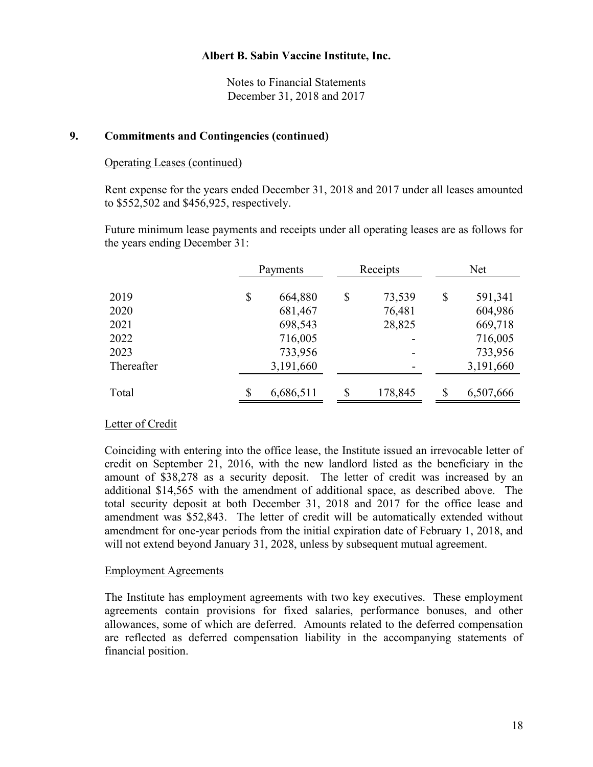Notes to Financial Statements December 31, 2018 and 2017

#### **9. Commitments and Contingencies (continued)**

#### Operating Leases (continued)

Rent expense for the years ended December 31, 2018 and 2017 under all leases amounted to \$552,502 and \$456,925, respectively.

Future minimum lease payments and receipts under all operating leases are as follows for the years ending December 31:

|            | Payments |           | Receipts |         | Net           |  |
|------------|----------|-----------|----------|---------|---------------|--|
| 2019       | \$       | 664,880   | \$       | 73,539  | \$<br>591,341 |  |
| 2020       |          | 681,467   |          | 76,481  | 604,986       |  |
| 2021       |          | 698,543   |          | 28,825  | 669,718       |  |
| 2022       |          | 716,005   |          |         | 716,005       |  |
| 2023       |          | 733,956   |          |         | 733,956       |  |
| Thereafter |          | 3,191,660 |          |         | 3,191,660     |  |
| Total      | \$       | 6,686,511 | \$       | 178,845 | 6,507,666     |  |

## Letter of Credit

Coinciding with entering into the office lease, the Institute issued an irrevocable letter of credit on September 21, 2016, with the new landlord listed as the beneficiary in the amount of \$38,278 as a security deposit. The letter of credit was increased by an additional \$14,565 with the amendment of additional space, as described above. The total security deposit at both December 31, 2018 and 2017 for the office lease and amendment was \$52,843. The letter of credit will be automatically extended without amendment for one-year periods from the initial expiration date of February 1, 2018, and will not extend beyond January 31, 2028, unless by subsequent mutual agreement.

## Employment Agreements

The Institute has employment agreements with two key executives. These employment agreements contain provisions for fixed salaries, performance bonuses, and other allowances, some of which are deferred. Amounts related to the deferred compensation are reflected as deferred compensation liability in the accompanying statements of financial position.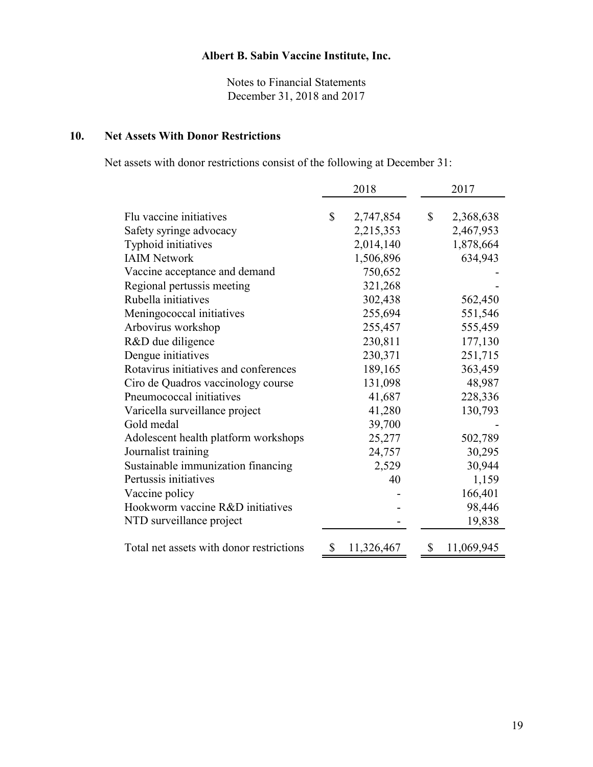Notes to Financial Statements December 31, 2018 and 2017

# **10. Net Assets With Donor Restrictions**

Net assets with donor restrictions consist of the following at December 31:

|                                          | 2018 |            |    | 2017       |  |
|------------------------------------------|------|------------|----|------------|--|
|                                          |      |            |    |            |  |
| Flu vaccine initiatives                  | \$   | 2,747,854  | \$ | 2,368,638  |  |
| Safety syringe advocacy                  |      | 2,215,353  |    | 2,467,953  |  |
| Typhoid initiatives                      |      | 2,014,140  |    | 1,878,664  |  |
| <b>IAIM Network</b>                      |      | 1,506,896  |    | 634,943    |  |
| Vaccine acceptance and demand            |      | 750,652    |    |            |  |
| Regional pertussis meeting               |      | 321,268    |    |            |  |
| Rubella initiatives                      |      | 302,438    |    | 562,450    |  |
| Meningococcal initiatives                |      | 255,694    |    | 551,546    |  |
| Arbovirus workshop                       |      | 255,457    |    | 555,459    |  |
| R&D due diligence                        |      | 230,811    |    | 177,130    |  |
| Dengue initiatives                       |      | 230,371    |    | 251,715    |  |
| Rotavirus initiatives and conferences    |      | 189,165    |    | 363,459    |  |
| Ciro de Quadros vaccinology course       |      | 131,098    |    | 48,987     |  |
| Pneumococcal initiatives                 |      | 41,687     |    | 228,336    |  |
| Varicella surveillance project           |      | 41,280     |    | 130,793    |  |
| Gold medal                               |      | 39,700     |    |            |  |
| Adolescent health platform workshops     |      | 25,277     |    | 502,789    |  |
| Journalist training                      |      | 24,757     |    | 30,295     |  |
| Sustainable immunization financing       |      | 2,529      |    | 30,944     |  |
| Pertussis initiatives                    |      | 40         |    | 1,159      |  |
| Vaccine policy                           |      |            |    | 166,401    |  |
| Hookworm vaccine R&D initiatives         |      |            |    | 98,446     |  |
| NTD surveillance project                 |      |            |    | 19,838     |  |
| Total net assets with donor restrictions | \$   | 11,326,467 | \$ | 11,069,945 |  |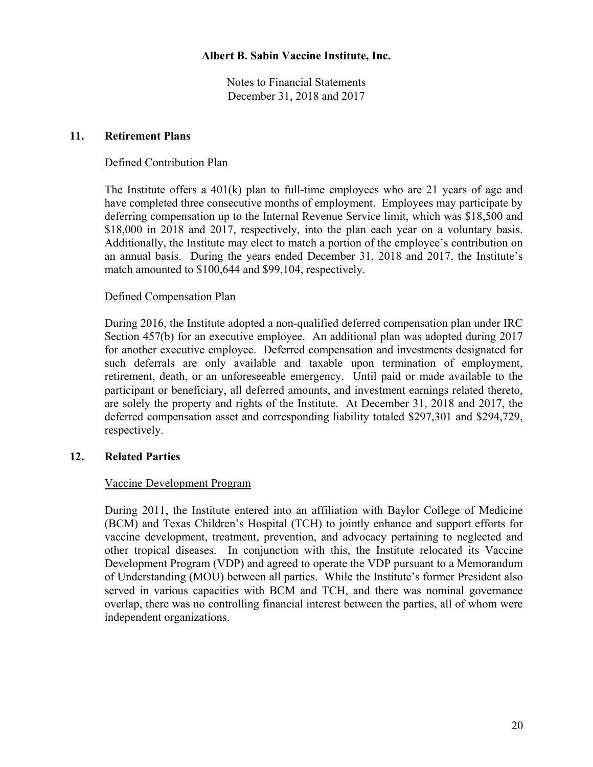Notes to Financial Statements December 31, 2018 and 2017

#### **11. Retirement Plans**

#### Defined Contribution Plan

The Institute offers a 401(k) plan to full-time employees who are 21 years of age and have completed three consecutive months of employment. Employees may participate by deferring compensation up to the Internal Revenue Service limit, which was \$18,500 and \$18,000 in 2018 and 2017, respectively, into the plan each year on a voluntary basis. Additionally, the Institute may elect to match a portion of the employee's contribution on an annual basis. During the years ended December 31, 2018 and 2017, the Institute's match amounted to \$100,644 and \$99,104, respectively.

#### Defined Compensation Plan

During 2016, the Institute adopted a non-qualified deferred compensation plan under IRC Section 457(b) for an executive employee. An additional plan was adopted during 2017 for another executive employee. Deferred compensation and investments designated for such deferrals are only available and taxable upon termination of employment, retirement, death, or an unforeseeable emergency. Until paid or made available to the participant or beneficiary, all deferred amounts, and investment earnings related thereto, are solely the property and rights of the Institute. At December 31, 2018 and 2017, the deferred compensation asset and corresponding liability totaled \$297,301 and \$294,729, respectively.

## **12. Related Parties**

## Vaccine Development Program

During 2011, the Institute entered into an affiliation with Baylor College of Medicine (BCM) and Texas Children's Hospital (TCH) to jointly enhance and support efforts for vaccine development, treatment, prevention, and advocacy pertaining to neglected and other tropical diseases. In conjunction with this, the Institute relocated its Vaccine Development Program (VDP) and agreed to operate the VDP pursuant to a Memorandum of Understanding (MOU) between all parties. While the Institute's former President also served in various capacities with BCM and TCH, and there was nominal governance overlap, there was no controlling financial interest between the parties, all of whom were independent organizations.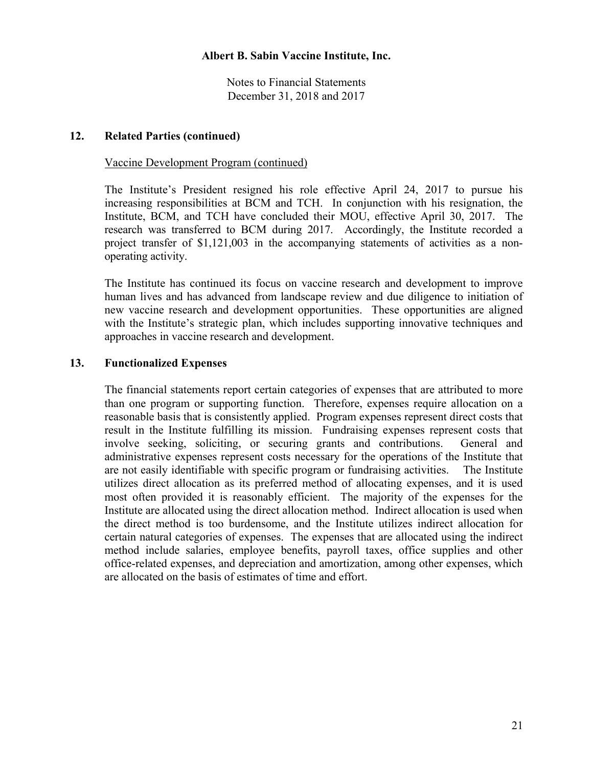Notes to Financial Statements December 31, 2018 and 2017

## **12. Related Parties (continued)**

#### Vaccine Development Program (continued)

The Institute's President resigned his role effective April 24, 2017 to pursue his increasing responsibilities at BCM and TCH. In conjunction with his resignation, the Institute, BCM, and TCH have concluded their MOU, effective April 30, 2017. The research was transferred to BCM during 2017. Accordingly, the Institute recorded a project transfer of \$1,121,003 in the accompanying statements of activities as a nonoperating activity.

The Institute has continued its focus on vaccine research and development to improve human lives and has advanced from landscape review and due diligence to initiation of new vaccine research and development opportunities. These opportunities are aligned with the Institute's strategic plan, which includes supporting innovative techniques and approaches in vaccine research and development.

#### **13. Functionalized Expenses**

The financial statements report certain categories of expenses that are attributed to more than one program or supporting function. Therefore, expenses require allocation on a reasonable basis that is consistently applied. Program expenses represent direct costs that result in the Institute fulfilling its mission. Fundraising expenses represent costs that involve seeking, soliciting, or securing grants and contributions. General and administrative expenses represent costs necessary for the operations of the Institute that are not easily identifiable with specific program or fundraising activities. The Institute utilizes direct allocation as its preferred method of allocating expenses, and it is used most often provided it is reasonably efficient. The majority of the expenses for the Institute are allocated using the direct allocation method. Indirect allocation is used when the direct method is too burdensome, and the Institute utilizes indirect allocation for certain natural categories of expenses. The expenses that are allocated using the indirect method include salaries, employee benefits, payroll taxes, office supplies and other office-related expenses, and depreciation and amortization, among other expenses, which are allocated on the basis of estimates of time and effort.